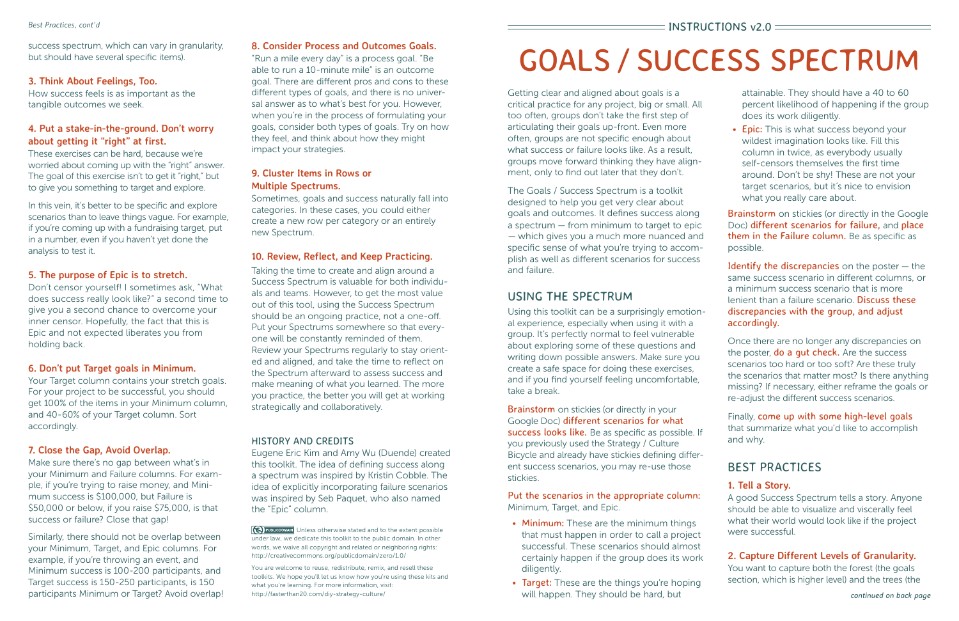• Epic: This is what success beyond your wildest imagination looks like. Fill this column in twice, as everybody usually self-censors themselves the first time around. Don't be shy! These are not your target scenarios, but it's nice to envision what you really care about.

**Brainstorm** on stickies (or directly in the Google Doc) different scenarios for failure, and place them in the Failure column. Be as specific as possible.

Identify the discrepancies on the poster  $-$  the same success scenario in different columns, or a minimum success scenario that is more lenient than a failure scenario. Discuss these discrepancies with the group, and adjust accordingly.

Once there are no longer any discrepancies on the poster, **do a gut check.** Are the success scenarios too hard or too soft? Are these truly the scenarios that matter most? Is there anything missing? If necessary, either reframe the goals or re-adjust the different success scenarios.

attainable. They should have a 40 to 60 percent likelihood of happening if the group does its work diligently.

Brainstorm on stickies (or directly in your Google Doc) different scenarios for what success looks like. Be as specific as possible. If you previously used the Strategy / Culture Bicycle and already have stickies defining different success scenarios, you may re-use those stickies.

- Minimum: These are the minimum things that must happen in order to call a project successful. These scenarios should almost certainly happen if the group does its work diligently.
- Target: These are the things you're hoping will happen. They should be hard, but

Finally, come up with some high-level goals that summarize what you'd like to accomplish and why.

# BEST PRACTICES

## **1. Tell a Story.**

A good Success Spectrum tells a story. Anyone should be able to visualize and viscerally feel what their world would look like if the project were successful.

## **2. Capture Different Levels of Granularity.**

You want to capture both the forest (the goals section, which is higher level) and the trees (the

# GOALS / SUCCESS SPECTRUM

Getting clear and aligned about goals is a critical practice for any project, big or small. All too often, groups don't take the first step of articulating their goals up-front. Even more often, groups are not specific enough about what success or failure looks like. As a result, groups move forward thinking they have alignment, only to find out later that they don't.

The Goals / Success Spectrum is a toolkit designed to help you get very clear about goals and outcomes. It defines success along a spectrum — from minimum to target to epic — which gives you a much more nuanced and specific sense of what you're trying to accomplish as well as different scenarios for success and failure.

## USING THE SPECTRUM

**(6) PUBLICDOMAIN** Unless otherwise stated and to the extent possible under law, we dedicate this toolkit to the public domain. In other words, we waive all copyright and related or neighboring rights: http://creativecommons.org/publicdomain/zero/1.0/

Using this toolkit can be a surprisingly emotional experience, especially when using it with a group. It's perfectly normal to feel vulnerable about exploring some of these questions and writing down possible answers. Make sure you create a safe space for doing these exercises, and if you find yourself feeling uncomfortable, take a break.

Put the scenarios in the appropriate column: Minimum, Target, and Epic.

In this vein, it's better to be specific and explore scenarios than to leave things vague. For example, if you're coming up with a fundraising target, put in a number, even if you haven't yet done the analysis to test it.

#### **8. Consider Process and Outcomes Goals.**

"Run a mile every day" is a process goal. "Be able to run a 10-minute mile" is an outcome goal. There are different pros and cons to these different types of goals, and there is no universal answer as to what's best for you. However, when you're in the process of formulating your goals, consider both types of goals. Try on how they feel, and think about how they might impact your strategies.

#### **9. Cluster Items in Rows or Multiple Spectrums.**

Sometimes, goals and success naturally fall into categories. In these cases, you could either create a new row per category or an entirely new Spectrum.

#### **10. Review, Reflect, and Keep Practicing.**

Taking the time to create and align around a Success Spectrum is valuable for both individuals and teams. However, to get the most value out of this tool, using the Success Spectrum should be an ongoing practice, not a one-off. Put your Spectrums somewhere so that everyone will be constantly reminded of them. Review your Spectrums regularly to stay oriented and aligned, and take the time to reflect on the Spectrum afterward to assess success and make meaning of what you learned. The more you practice, the better you will get at working strategically and collaboratively.

#### HISTORY AND CREDITS

Eugene Eric Kim and Amy Wu (Duende) created this toolkit. The idea of defining success along a spectrum was inspired by Kristin Cobble. The idea of explicitly incorporating failure scenarios was inspired by Seb Paquet, who also named the "Epic" column.

You are welcome to reuse, redistribute, remix, and resell these toolkits. We hope you'll let us know how you're using these kits and what you're learning. For more information, visit: http://fasterthan20.com/diy-strategy-culture/

success spectrum, which can vary in granularity, but should have several specific items).

#### **3. Think About Feelings, Too.**

How success feels is as important as the tangible outcomes we seek.

#### **4. Put a stake-in-the-ground. Don't worry about getting it "right" at first.**

These exercises can be hard, because we're worried about coming up with the "right" answer. The goal of this exercise isn't to get it "right," but to give you something to target and explore.

#### **5. The purpose of Epic is to stretch.**

Don't censor yourself! I sometimes ask, "What does success really look like?" a second time to give you a second chance to overcome your inner censor. Hopefully, the fact that this is Epic and not expected liberates you from holding back.

#### **6. Don't put Target goals in Minimum.**

Your Target column contains your stretch goals. For your project to be successful, you should get 100% of the items in your Minimum column, and 40-60% of your Target column. Sort accordingly.

#### **7. Close the Gap, Avoid Overlap.**

Make sure there's no gap between what's in your Minimum and Failure columns. For example, if you're trying to raise money, and Minimum success is \$100,000, but Failure is \$50,000 or below, if you raise \$75,000, is that success or failure? Close that gap!

Similarly, there should not be overlap between your Minimum, Target, and Epic columns. For example, if you're throwing an event, and Minimum success is 100-200 participants, and Target success is 150-250 participants, is 150 participants Minimum or Target? Avoid overlap!